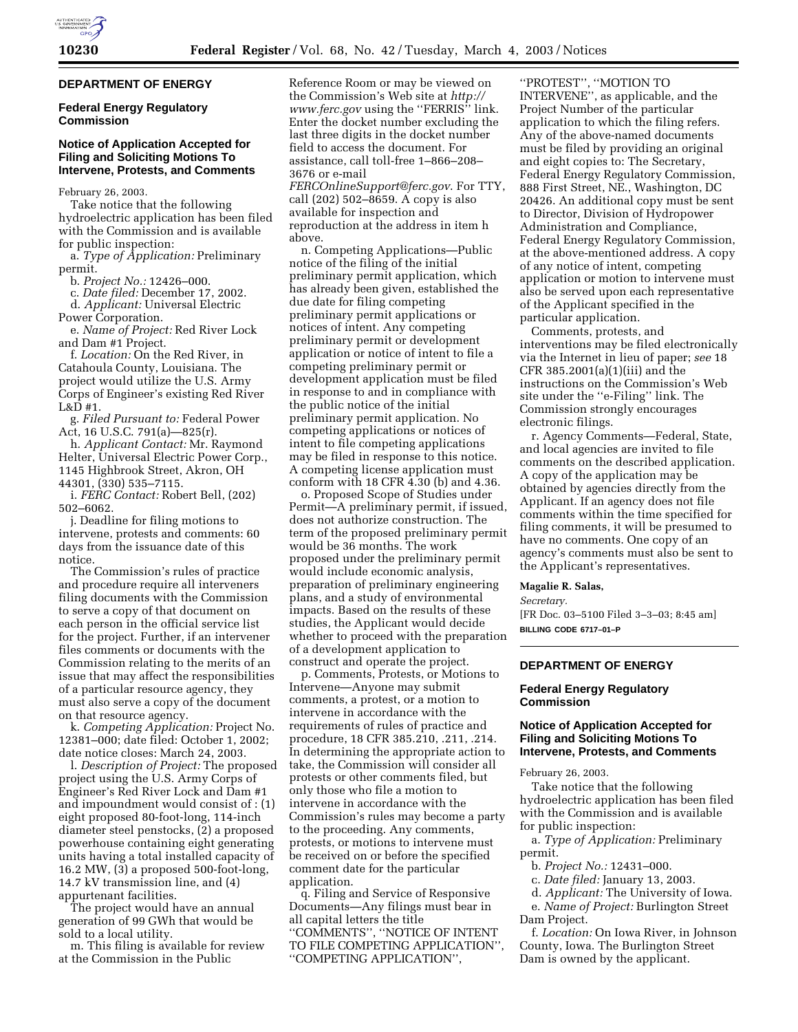### **DEPARTMENT OF ENERGY**

### **Federal Energy Regulatory Commission**

## **Notice of Application Accepted for Filing and Soliciting Motions To Intervene, Protests, and Comments**

February 26, 2003.

Take notice that the following hydroelectric application has been filed with the Commission and is available for public inspection:

a. *Type of Application:* Preliminary permit.

b. *Project No.:* 12426–000.

c. *Date filed:* December 17, 2002. d. *Applicant:* Universal Electric

Power Corporation. e. *Name of Project:* Red River Lock and Dam #1 Project.

f. *Location:* On the Red River, in Catahoula County, Louisiana. The project would utilize the U.S. Army Corps of Engineer's existing Red River L&D #1.

g. *Filed Pursuant to:* Federal Power Act, 16 U.S.C. 791(a)—825(r).

h. *Applicant Contact:* Mr. Raymond Helter, Universal Electric Power Corp., 1145 Highbrook Street, Akron, OH 44301, (330) 535–7115.

i. *FERC Contact:* Robert Bell, (202) 502–6062.

j. Deadline for filing motions to intervene, protests and comments: 60 days from the issuance date of this notice.

The Commission's rules of practice and procedure require all interveners filing documents with the Commission to serve a copy of that document on each person in the official service list for the project. Further, if an intervener files comments or documents with the Commission relating to the merits of an issue that may affect the responsibilities of a particular resource agency, they must also serve a copy of the document on that resource agency.

k. *Competing Application:* Project No. 12381–000; date filed: October 1, 2002; date notice closes: March 24, 2003.

l. *Description of Project:* The proposed project using the U.S. Army Corps of Engineer's Red River Lock and Dam #1 and impoundment would consist of : (1) eight proposed 80-foot-long, 114-inch diameter steel penstocks, (2) a proposed powerhouse containing eight generating units having a total installed capacity of 16.2 MW, (3) a proposed 500-foot-long, 14.7 kV transmission line, and (4) appurtenant facilities.

The project would have an annual generation of 99 GWh that would be sold to a local utility.

m. This filing is available for review at the Commission in the Public

Reference Room or may be viewed on the Commission's Web site at *http:// www.ferc.gov* using the ''FERRIS'' link. Enter the docket number excluding the last three digits in the docket number field to access the document. For assistance, call toll-free 1–866–208– 3676 or e-mail *FERCOnlineSupport@ferc.gov*. For TTY,

call (202) 502–8659. A copy is also available for inspection and reproduction at the address in item h above.

n. Competing Applications—Public notice of the filing of the initial preliminary permit application, which has already been given, established the due date for filing competing preliminary permit applications or notices of intent. Any competing preliminary permit or development application or notice of intent to file a competing preliminary permit or development application must be filed in response to and in compliance with the public notice of the initial preliminary permit application. No competing applications or notices of intent to file competing applications may be filed in response to this notice. A competing license application must conform with 18 CFR 4.30 (b) and 4.36.

o. Proposed Scope of Studies under Permit—A preliminary permit, if issued, does not authorize construction. The term of the proposed preliminary permit would be 36 months. The work proposed under the preliminary permit would include economic analysis, preparation of preliminary engineering plans, and a study of environmental impacts. Based on the results of these studies, the Applicant would decide whether to proceed with the preparation of a development application to construct and operate the project.

p. Comments, Protests, or Motions to Intervene—Anyone may submit comments, a protest, or a motion to intervene in accordance with the requirements of rules of practice and procedure, 18 CFR 385.210, .211, .214. In determining the appropriate action to take, the Commission will consider all protests or other comments filed, but only those who file a motion to intervene in accordance with the Commission's rules may become a party to the proceeding. Any comments, protests, or motions to intervene must be received on or before the specified comment date for the particular application.

q. Filing and Service of Responsive Documents—Any filings must bear in all capital letters the title ''COMMENTS'', ''NOTICE OF INTENT TO FILE COMPETING APPLICATION'', ''COMPETING APPLICATION'',

''PROTEST'', ''MOTION TO INTERVENE'', as applicable, and the Project Number of the particular application to which the filing refers. Any of the above-named documents must be filed by providing an original and eight copies to: The Secretary, Federal Energy Regulatory Commission, 888 First Street, NE., Washington, DC 20426. An additional copy must be sent to Director, Division of Hydropower Administration and Compliance, Federal Energy Regulatory Commission, at the above-mentioned address. A copy of any notice of intent, competing application or motion to intervene must also be served upon each representative of the Applicant specified in the particular application.

Comments, protests, and interventions may be filed electronically via the Internet in lieu of paper; *see* 18 CFR 385.2001(a)(1)(iii) and the instructions on the Commission's Web site under the ''e-Filing'' link. The Commission strongly encourages electronic filings.

r. Agency Comments—Federal, State, and local agencies are invited to file comments on the described application. A copy of the application may be obtained by agencies directly from the Applicant. If an agency does not file comments within the time specified for filing comments, it will be presumed to have no comments. One copy of an agency's comments must also be sent to the Applicant's representatives.

#### **Magalie R. Salas,**

*Secretary.*

[FR Doc. 03–5100 Filed 3–3–03; 8:45 am] **BILLING CODE 6717–01–P**

# **DEPARTMENT OF ENERGY**

# **Federal Energy Regulatory Commission**

### **Notice of Application Accepted for Filing and Soliciting Motions To Intervene, Protests, and Comments**

February 26, 2003.

Take notice that the following hydroelectric application has been filed with the Commission and is available for public inspection:

a. *Type of Application:* Preliminary permit.

b. *Project No.:* 12431–000.

- c. *Date filed:* January 13, 2003.
- d. *Applicant:* The University of Iowa.

e. *Name of Project:* Burlington Street Dam Project.

f. *Location:* On Iowa River, in Johnson County, Iowa. The Burlington Street Dam is owned by the applicant.